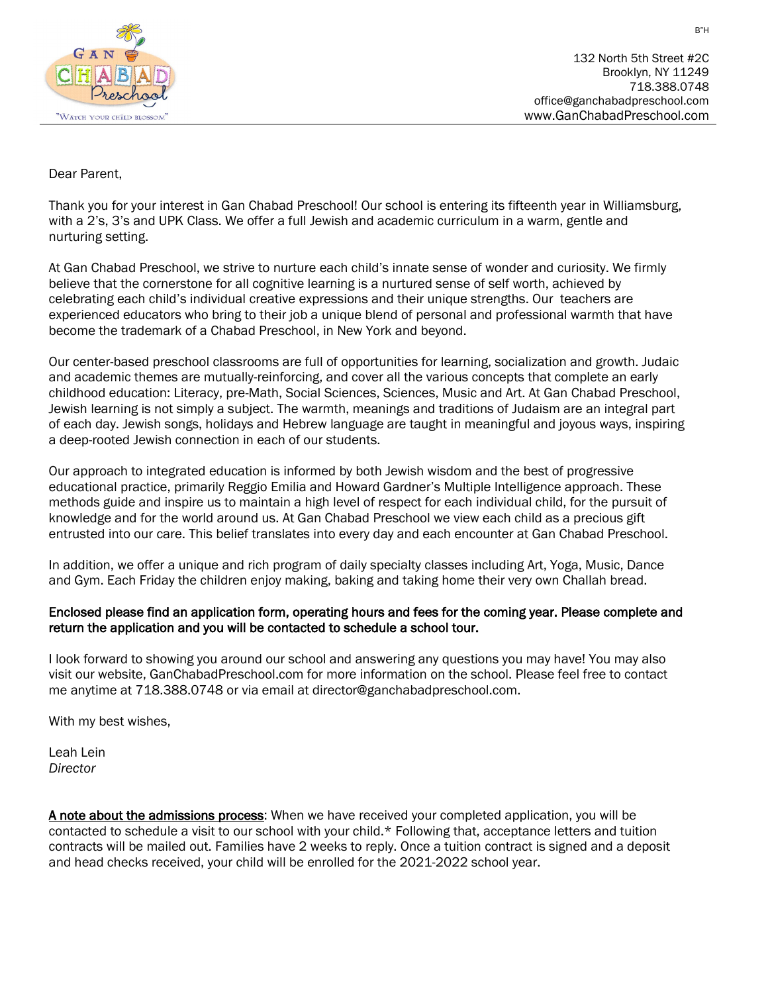

132 North 5th Street #2C Brooklyn, NY 11249 718.388.0748 office@ganchabadpreschool.com www.GanChabadPreschool.com

## Dear Parent,

Thank you for your interest in Gan Chabad Preschool! Our school is entering its fifteenth year in Williamsburg, with a 2's, 3's and UPK Class. We offer a full Jewish and academic curriculum in a warm, gentle and nurturing setting.

At Gan Chabad Preschool, we strive to nurture each child's innate sense of wonder and curiosity. We firmly believe that the cornerstone for all cognitive learning is a nurtured sense of self worth, achieved by celebrating each child's individual creative expressions and their unique strengths. Our teachers are experienced educators who bring to their job a unique blend of personal and professional warmth that have become the trademark of a Chabad Preschool, in New York and beyond.

Our center-based preschool classrooms are full of opportunities for learning, socialization and growth. Judaic and academic themes are mutually-reinforcing, and cover all the various concepts that complete an early childhood education: Literacy, pre-Math, Social Sciences, Sciences, Music and Art. At Gan Chabad Preschool, Jewish learning is not simply a subject. The warmth, meanings and traditions of Judaism are an integral part of each day. Jewish songs, holidays and Hebrew language are taught in meaningful and joyous ways, inspiring a deep-rooted Jewish connection in each of our students.

Our approach to integrated education is informed by both Jewish wisdom and the best of progressive educational practice, primarily Reggio Emilia and Howard Gardner's Multiple Intelligence approach. These methods guide and inspire us to maintain a high level of respect for each individual child, for the pursuit of knowledge and for the world around us. At Gan Chabad Preschool we view each child as a precious gift entrusted into our care. This belief translates into every day and each encounter at Gan Chabad Preschool.

In addition, we offer a unique and rich program of daily specialty classes including Art, Yoga, Music, Dance and Gym. Each Friday the children enjoy making, baking and taking home their very own Challah bread.

## Enclosed please find an application form, operating hours and fees for the coming year. Please complete and return the application and you will be contacted to schedule a school tour.

I look forward to showing you around our school and answering any questions you may have! You may also visit our website, GanChabadPreschool.com for more information on the school. Please feel free to contact me anytime at 718.388.0748 or via email at director@ganchabadpreschool.com.

With my best wishes,

Leah Lein *Director*

A note about the admissions process: When we have received your completed application, you will be contacted to schedule a visit to our school with your child.\* Following that, acceptance letters and tuition contracts will be mailed out. Families have 2 weeks to reply. Once a tuition contract is signed and a deposit and head checks received, your child will be enrolled for the 2021-2022 school year.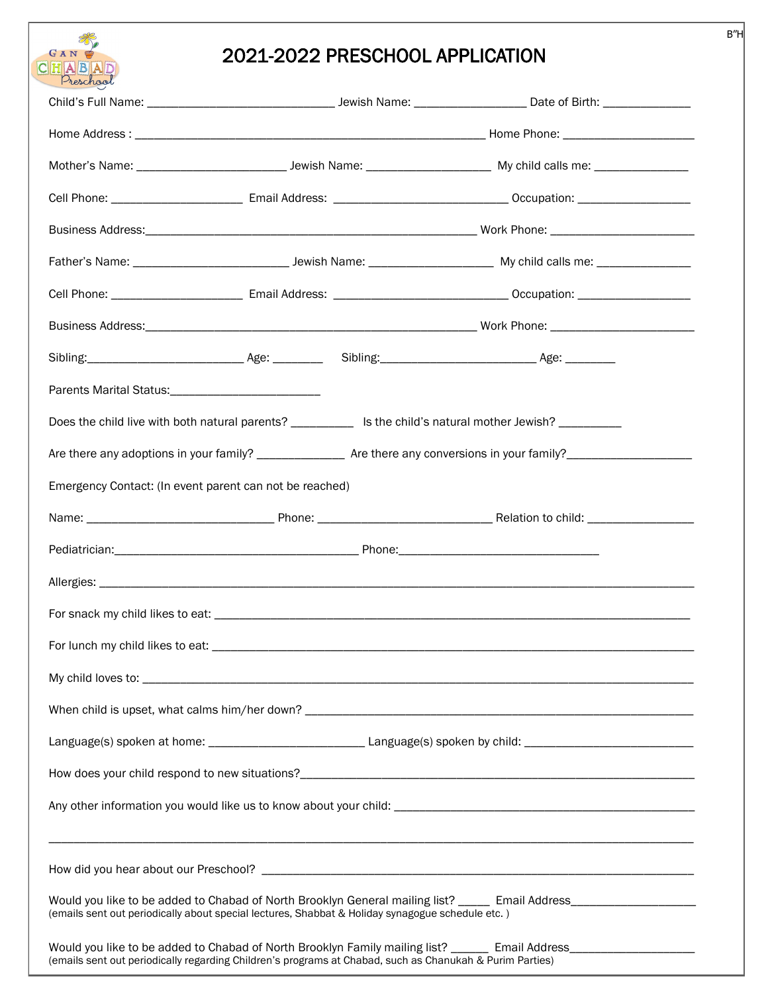# **CHABAD** 2021-2022 PRESCHOOL APPLICATION

| Preschool                                                                                                  |  |                                                                                                                                                                                                                               |  |  |
|------------------------------------------------------------------------------------------------------------|--|-------------------------------------------------------------------------------------------------------------------------------------------------------------------------------------------------------------------------------|--|--|
|                                                                                                            |  |                                                                                                                                                                                                                               |  |  |
|                                                                                                            |  |                                                                                                                                                                                                                               |  |  |
|                                                                                                            |  |                                                                                                                                                                                                                               |  |  |
|                                                                                                            |  |                                                                                                                                                                                                                               |  |  |
|                                                                                                            |  |                                                                                                                                                                                                                               |  |  |
|                                                                                                            |  |                                                                                                                                                                                                                               |  |  |
|                                                                                                            |  |                                                                                                                                                                                                                               |  |  |
|                                                                                                            |  |                                                                                                                                                                                                                               |  |  |
|                                                                                                            |  |                                                                                                                                                                                                                               |  |  |
|                                                                                                            |  |                                                                                                                                                                                                                               |  |  |
| Does the child live with both natural parents? ___________ Is the child's natural mother Jewish? _________ |  |                                                                                                                                                                                                                               |  |  |
|                                                                                                            |  | Are there any adoptions in your family? _________________ Are there any conversions in your family? ___________________________________                                                                                       |  |  |
| Emergency Contact: (In event parent can not be reached)                                                    |  |                                                                                                                                                                                                                               |  |  |
|                                                                                                            |  |                                                                                                                                                                                                                               |  |  |
|                                                                                                            |  |                                                                                                                                                                                                                               |  |  |
|                                                                                                            |  |                                                                                                                                                                                                                               |  |  |
|                                                                                                            |  |                                                                                                                                                                                                                               |  |  |
|                                                                                                            |  |                                                                                                                                                                                                                               |  |  |
|                                                                                                            |  |                                                                                                                                                                                                                               |  |  |
|                                                                                                            |  |                                                                                                                                                                                                                               |  |  |
|                                                                                                            |  |                                                                                                                                                                                                                               |  |  |
|                                                                                                            |  |                                                                                                                                                                                                                               |  |  |
|                                                                                                            |  |                                                                                                                                                                                                                               |  |  |
|                                                                                                            |  |                                                                                                                                                                                                                               |  |  |
|                                                                                                            |  |                                                                                                                                                                                                                               |  |  |
| (emails sent out periodically about special lectures, Shabbat & Holiday synagogue schedule etc.)           |  | Would you like to be added to Chabad of North Brooklyn General mailing list? _____ Email Address____________________                                                                                                          |  |  |
|                                                                                                            |  | Would you like to be added to Chabad of North Brooklyn Family mailing list? ______ Email Address_________________<br>(emails sent out periodically regarding Children's programs at Chabad, such as Chanukah & Purim Parties) |  |  |

B"H